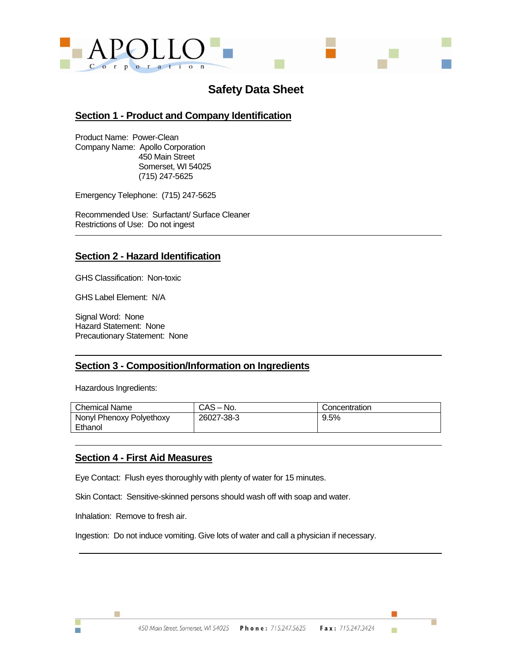

# **Safety Data Sheet**

#### **Section 1 - Product and Company Identification**

Product Name: Power-Clean Company Name: Apollo Corporation 450 Main Street Somerset, WI 54025 (715) 247-5625

Emergency Telephone: (715) 247-5625

Recommended Use: Surfactant/ Surface Cleaner Restrictions of Use: Do not ingest

#### **Section 2 - Hazard Identification**

GHS Classification: Non-toxic

GHS Label Element: N/A

Signal Word: None Hazard Statement: None Precautionary Statement: None

#### **Section 3 - Composition/Information on Ingredients**

Hazardous Ingredients:

| <b>Chemical Name</b>                | $CAS - No.$ | Concentration |
|-------------------------------------|-------------|---------------|
| Nonyl Phenoxy Polyethoxy<br>Ethanol | 26027-38-3  | 9.5%          |

#### **Section 4 - First Aid Measures**

Eye Contact: Flush eyes thoroughly with plenty of water for 15 minutes.

Skin Contact: Sensitive-skinned persons should wash off with soap and water.

Inhalation: Remove to fresh air.

Ħ

m.

Ingestion: Do not induce vomiting. Give lots of water and call a physician if necessary.

г

ш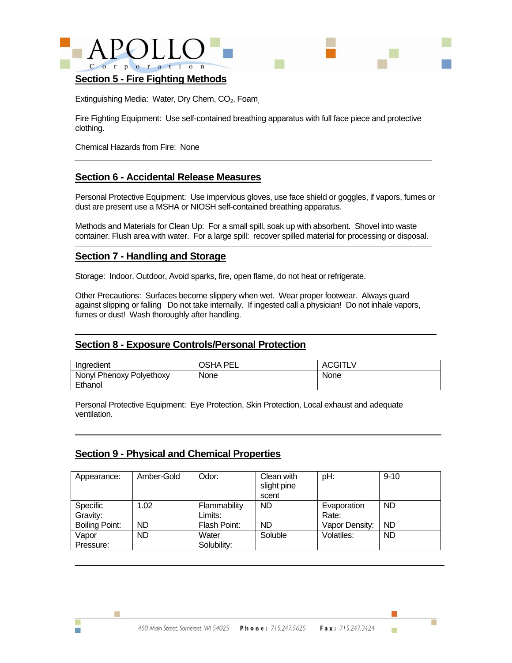



#### **Section 5 - Fire Fighting Methods**

Extinguishing Media: Water, Dry Chem, CO<sub>2</sub>, Foam

Fire Fighting Equipment: Use self-contained breathing apparatus with full face piece and protective clothing.

Chemical Hazards from Fire: None

#### **Section 6 - Accidental Release Measures**

Personal Protective Equipment: Use impervious gloves, use face shield or goggles, if vapors, fumes or dust are present use a MSHA or NIOSH self-contained breathing apparatus.

Methods and Materials for Clean Up: For a small spill, soak up with absorbent. Shovel into waste container. Flush area with water. For a large spill: recover spilled material for processing or disposal.

#### **Section 7 - Handling and Storage**

Storage: Indoor, Outdoor, Avoid sparks, fire, open flame, do not heat or refrigerate.

Other Precautions: Surfaces become slippery when wet. Wear proper footwear. Always guard against slipping or falling Do not take internally. If ingested call a physician! Do not inhale vapors, fumes or dust! Wash thoroughly after handling.

#### **Section 8 - Exposure Controls/Personal Protection**

| Ingredient                          | <b>OSHA PEL</b> | <b>ACGITLV</b> |
|-------------------------------------|-----------------|----------------|
| Nonyl Phenoxy Polyethoxy<br>Ethanol | None            | None           |

Personal Protective Equipment: Eye Protection, Skin Protection, Local exhaust and adequate ventilation.

#### **Section 9 - Physical and Chemical Properties**

m.

| Appearance:          | Amber-Gold | Odor:                   | Clean with<br>slight pine<br>scent | pH:                  | $9 - 10$  |
|----------------------|------------|-------------------------|------------------------------------|----------------------|-----------|
| Specific<br>Gravity: | 1.02       | Flammability<br>Limits: | <b>ND</b>                          | Evaporation<br>Rate: | ND        |
| Boiling Point:       | <b>ND</b>  | Flash Point:            | <b>ND</b>                          | Vapor Density:       | <b>ND</b> |
| Vapor<br>Pressure:   | <b>ND</b>  | Water<br>Solubility:    | Soluble                            | Volatiles:           | <b>ND</b> |

ш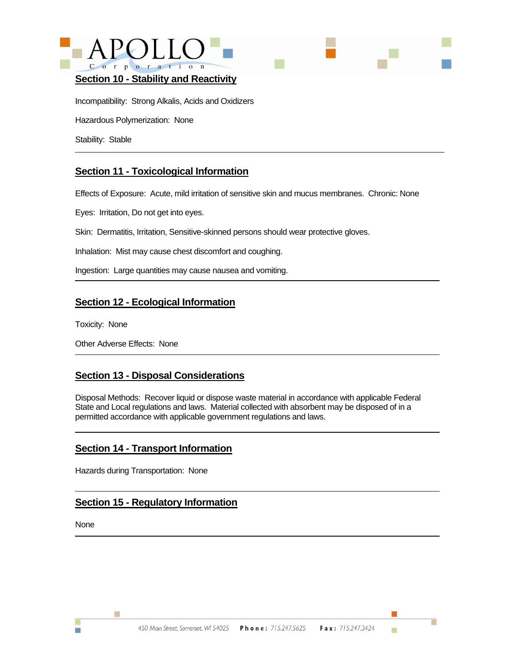



Incompatibility: Strong Alkalis, Acids and Oxidizers

Hazardous Polymerization: None

Stability: Stable

# **Section 11 - Toxicological Information**

Effects of Exposure: Acute, mild irritation of sensitive skin and mucus membranes. Chronic: None

Eyes: Irritation, Do not get into eyes.

Skin: Dermatitis, Irritation, Sensitive-skinned persons should wear protective gloves.

Inhalation: Mist may cause chest discomfort and coughing.

Ingestion: Large quantities may cause nausea and vomiting.

# **Section 12 - Ecological Information**

Toxicity: None

Other Adverse Effects: None

# **Section 13 - Disposal Considerations**

Disposal Methods: Recover liquid or dispose waste material in accordance with applicable Federal State and Local regulations and laws. Material collected with absorbent may be disposed of in a permitted accordance with applicable government regulations and laws.

# **Section 14 - Transport Information**

Hazards during Transportation: None

# **Section 15 - Regulatory Information**

None

m.

Ħ

ш